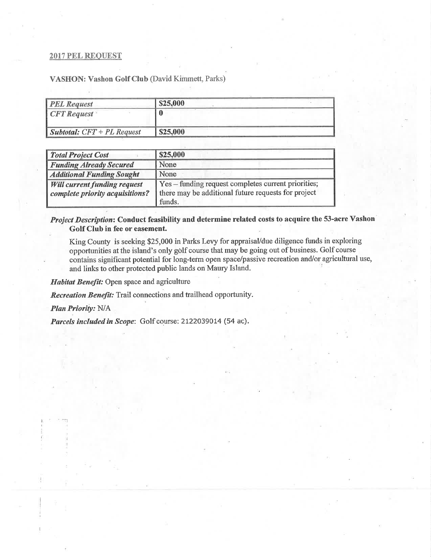## **2017 PEL REQUEST**

VASHON: Vashon Golf Club (David Kimmett, Parks)

| <b>PEL Request</b>                  | \$25,000 |  |
|-------------------------------------|----------|--|
| $CFT$ Request                       |          |  |
| <b>Subtotal:</b> $CFT + PL$ Request | \$25,000 |  |

| <b>Total Project Cost</b>           | \$25,000                                            |  |
|-------------------------------------|-----------------------------------------------------|--|
| <b>Funding Already Secured</b>      | None                                                |  |
| <b>Additional Funding Sought</b>    | None                                                |  |
| <b>Will current funding request</b> | Yes – funding request completes current priorities; |  |
| complete priority acquisitions?     | there may be additional future requests for project |  |
|                                     | funds.                                              |  |

## Project Description: Conduct feasibility and determine related costs to acquire the 53-acre Vashon Golf Club in fee or easement.

King County is seeking \$25,000 in Parks Levy for appraisal/due diligence funds in exploring opportunities at the island's only golf course that may be going out of business. Golf course contains significant potential for long-term open space/passive recreation and/or agricultural use, and links to other protected public lands on Maury Island.

Habitat Benefit: Open space and agriculture

Recreation Benefit: Trail connections and trailhead opportunity.

Plan Priority: N/A

Parcels included in Scope: Golf course: 2122039014 (54 ac).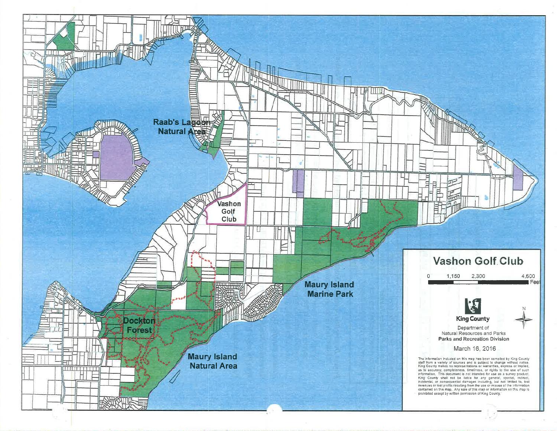